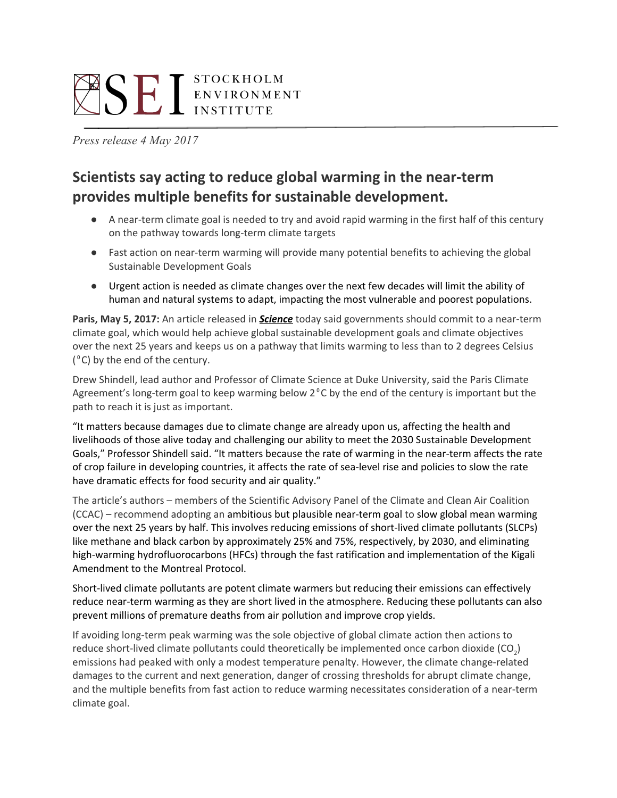# **SELISTOCKHOLM**

*Press release 4 May 2017*

# **Scientists say acting to reduce global warming in the near-term provides multiple benefits for sustainable development.**

- A near-term climate goal is needed to try and avoid rapid warming in the first half of this century on the pathway towards long-term climate targets
- Fast action on near-term warming will provide many potential benefits to achieving the global Sustainable Development Goals
- Urgent action is needed as climate changes over the next few decades will limit the ability of human and natural systems to adapt, impacting the most vulnerable and poorest populations.

**Paris, May 5, 2017:** An article released in *[Science](http://science.sciencemag.org/content/356/6337/493)* today said governments should commit to a near-term climate goal, which would help achieve global sustainable development goals and climate objectives over the next 25 years and keeps us on a pathway that limits warming to less than to 2 degrees Celsius  $(^{\circ}C)$  by the end of the century.

Drew Shindell, lead author and Professor of Climate Science at Duke University, said the Paris Climate Agreement's long-term goal to keep warming below 2<sup>°</sup>C by the end of the century is important but the path to reach it is just as important.

"It matters because damages due to climate change are already upon us, affecting the health and livelihoods of those alive today and challenging our ability to meet the 2030 Sustainable Development Goals," Professor Shindell said. "It matters because the rate of warming in the near-term affects the rate of crop failure in developing countries, it affects the rate of sea-level rise and policies to slow the rate have dramatic effects for food security and air quality."

The article's authors – members of the Scientific Advisory Panel of the Climate and Clean Air Coalition (CCAC) – recommend adopting an ambitious but plausible near-term goal to slow global mean warming over the next 25 years by half. This involves reducing emissions of short-lived climate pollutants (SLCPs) like methane and black carbon by approximately 25% and 75%, respectively, by 2030, and eliminating high-warming hydrofluorocarbons (HFCs) through the fast ratification and implementation of the Kigali Amendment to the Montreal Protocol.

Short-lived climate pollutants are potent climate warmers but reducing their emissions can effectively reduce near-term warming as they are short lived in the atmosphere. Reducing these pollutants can also prevent millions of premature deaths from air pollution and improve crop yields.

If avoiding long-term peak warming was the sole objective of global climate action then actions to reduce short-lived climate pollutants could theoretically be implemented once carbon dioxide (CO<sub>2</sub>) emissions had peaked with only a modest temperature penalty. However, the climate change-related damages to the current and next generation, danger of crossing thresholds for abrupt climate change, and the multiple benefits from fast action to reduce warming necessitates consideration of a near-term climate goal.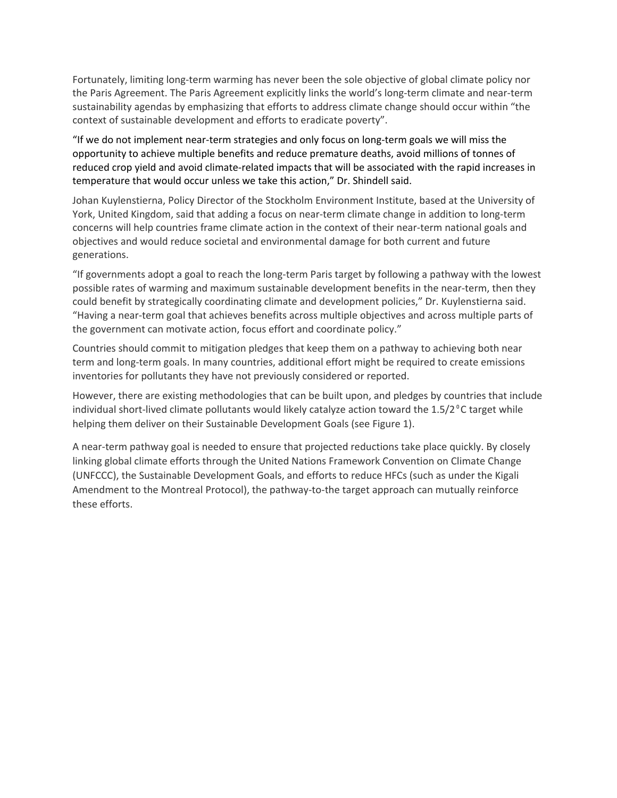Fortunately, limiting long-term warming has never been the sole objective of global climate policy nor the Paris Agreement. The Paris Agreement explicitly links the world's long-term climate and near-term sustainability agendas by emphasizing that efforts to address climate change should occur within "the context of sustainable development and efforts to eradicate poverty".

"If we do not implement near-term strategies and only focus on long-term goals we will miss the opportunity to achieve multiple benefits and reduce premature deaths, avoid millions of tonnes of reduced crop yield and avoid climate-related impacts that will be associated with the rapid increases in temperature that would occur unless we take this action," Dr. Shindell said.

Johan Kuylenstierna, Policy Director of the Stockholm Environment Institute, based at the University of York, United Kingdom, said that adding a focus on near-term climate change in addition to long-term concerns will help countries frame climate action in the context of their near-term national goals and objectives and would reduce societal and environmental damage for both current and future generations.

"If governments adopt a goal to reach the long-term Paris target by following a pathway with the lowest possible rates of warming and maximum sustainable development benefits in the near-term, then they could benefit by strategically coordinating climate and development policies," Dr. Kuylenstierna said. "Having a near-term goal that achieves benefits across multiple objectives and across multiple parts of the government can motivate action, focus effort and coordinate policy."

Countries should commit to mitigation pledges that keep them on a pathway to achieving both near term and long-term goals. In many countries, additional effort might be required to create emissions inventories for pollutants they have not previously considered or reported.

However, there are existing methodologies that can be built upon, and pledges by countries that include individual short-lived climate pollutants would likely catalyze action toward the  $1.5/2^{\circ}$ C target while helping them deliver on their Sustainable Development Goals (see Figure 1).

A near-term pathway goal is needed to ensure that projected reductions take place quickly. By closely linking global climate efforts through the United Nations Framework Convention on Climate Change (UNFCCC), the Sustainable Development Goals, and efforts to reduce HFCs (such as under the Kigali Amendment to the Montreal Protocol), the pathway-to-the target approach can mutually reinforce these efforts.